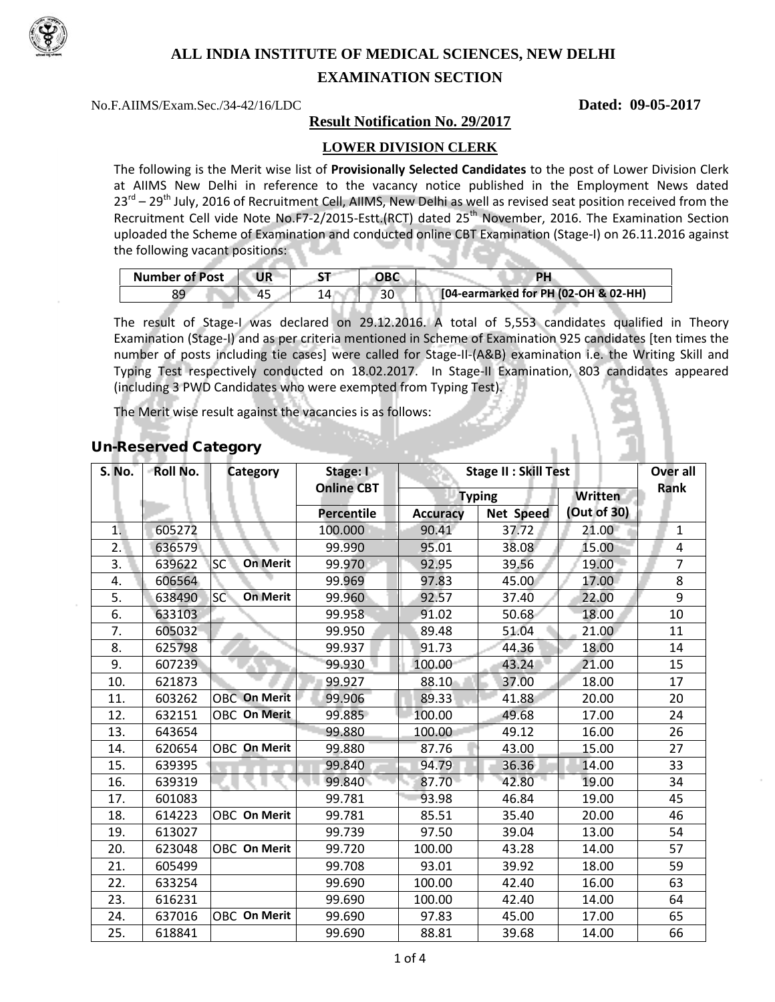

# **ALL INDIA INSTITUTE OF MEDICAL SCIENCES, NEW DELHI**

## **EXAMINATION SECTION**

No.F.AIIMS/Exam.Sec./34-42/16/LDC **Dated: 09-05-2017**

## **Result Notification No. 29/2017**

## **LOWER DIVISION CLERK**

The following is the Merit wise list of **Provisionally Selected Candidates** to the post of Lower Division Clerk at AIIMS New Delhi in reference to the vacancy notice published in the Employment News dated  $23^{\text{rd}}$  –  $29^{\text{th}}$  July, 2016 of Recruitment Cell, AIIMS, New Delhi as well as revised seat position received from the Recruitment Cell vide Note No.F7-2/2015-Estt.(RCT) dated 25<sup>th</sup> November, 2016. The Examination Section uploaded the Scheme of Examination and conducted online CBT Examination (Stage-I) on 26.11.2016 against the following vacant positions:

| <b>Number of Post</b> | UR | ~- | ОВС | DL                                   |
|-----------------------|----|----|-----|--------------------------------------|
|                       |    |    | 30  | [04-earmarked for PH (02-OH & 02-HH) |

The result of Stage-I was declared on 29.12.2016. A total of 5,553 candidates qualified in Theory Examination (Stage-I) and as per criteria mentioned in Scheme of Examination 925 candidates [ten times the number of posts including tie cases] were called for Stage-II-(A&B) examination i.e. the Writing Skill and Typing Test respectively conducted on 18.02.2017. In Stage-II Examination, 803 candidates appeared (including 3 PWD Candidates who were exempted from Typing Test).

The Merit wise result against the vacancies is as follows:

| S. No. | -Roll No. | Category                           | Stage: I<br><b>Online CBT</b> | <b>Stage II: Skill Test</b> |                  |             | Over all<br>Rank |
|--------|-----------|------------------------------------|-------------------------------|-----------------------------|------------------|-------------|------------------|
|        |           |                                    |                               | <b>Typing</b>               |                  | Written     |                  |
|        |           |                                    | Percentile                    | <b>Accuracy</b>             | <b>Net Speed</b> | (Out of 30) |                  |
| 1.     | 605272    |                                    | 100.000                       | 90.41                       | 37.72            | 21.00       | $\mathbf{1}$     |
| 2.     | 636579    |                                    | 99.990                        | 95.01                       | 38.08            | 15.00       | 4                |
| 3.     | 639622    | SC <sup>'</sup><br><b>On Merit</b> | 99.970                        | 92.95                       | 39.56            | 19.00       | $\overline{7}$   |
| 4.     | 606564    |                                    | 99.969                        | 97.83                       | 45.00            | 17.00       | 8                |
| 5.     | 638490    | <b>SC</b><br><b>On Merit</b>       | 99.960                        | 92.57                       | 37.40            | 22.00       | 9                |
| 6.     | 633103    |                                    | 99.958                        | 91.02                       | 50.68            | 18.00       | 10               |
| 7.     | 605032    |                                    | 99.950                        | 89.48                       | 51.04            | 21.00       | 11               |
| 8.     | 625798    |                                    | 99.937                        | 91.73                       | 44.36            | 18.00       | 14               |
| 9.     | 607239    |                                    | 99.930                        | 100.00                      | 43.24            | 21.00       | 15               |
| 10.    | 621873    |                                    | 99.927                        | 88.10                       | 37.00            | 18.00       | 17               |
| 11.    | 603262    | <b>OBC</b> On Merit                | 99.906                        | 89.33                       | 41.88            | 20.00       | 20               |
| 12.    | 632151    | <b>OBC On Merit</b>                | 99.885                        | 100.00                      | 49.68            | 17.00       | 24               |
| 13.    | 643654    |                                    | 99.880                        | 100.00                      | 49.12            | 16.00       | 26               |
| 14.    | 620654    | OBC On Merit                       | 99.880                        | 87.76                       | 43.00            | 15.00       | 27               |
| 15.    | 639395    |                                    | 99.840                        | 94.79                       | 36.36            | 14.00       | 33               |
| 16.    | 639319    |                                    | 99.840                        | 87.70                       | 42.80            | 19.00       | 34               |
| 17.    | 601083    |                                    | 99.781                        | 93.98                       | 46.84            | 19.00       | 45               |
| 18.    | 614223    | OBC On Merit                       | 99.781                        | 85.51                       | 35.40            | 20.00       | 46               |
| 19.    | 613027    |                                    | 99.739                        | 97.50                       | 39.04            | 13.00       | 54               |
| 20.    | 623048    | OBC On Merit                       | 99.720                        | 100.00                      | 43.28            | 14.00       | 57               |
| 21.    | 605499    |                                    | 99.708                        | 93.01                       | 39.92            | 18.00       | 59               |
| 22.    | 633254    |                                    | 99.690                        | 100.00                      | 42.40            | 16.00       | 63               |
| 23.    | 616231    |                                    | 99.690                        | 100.00                      | 42.40            | 14.00       | 64               |
| 24.    | 637016    | <b>OBC On Merit</b>                | 99.690                        | 97.83                       | 45.00            | 17.00       | 65               |
| 25.    | 618841    |                                    | 99.690                        | 88.81                       | 39.68            | 14.00       | 66               |

## Un-Reserved Category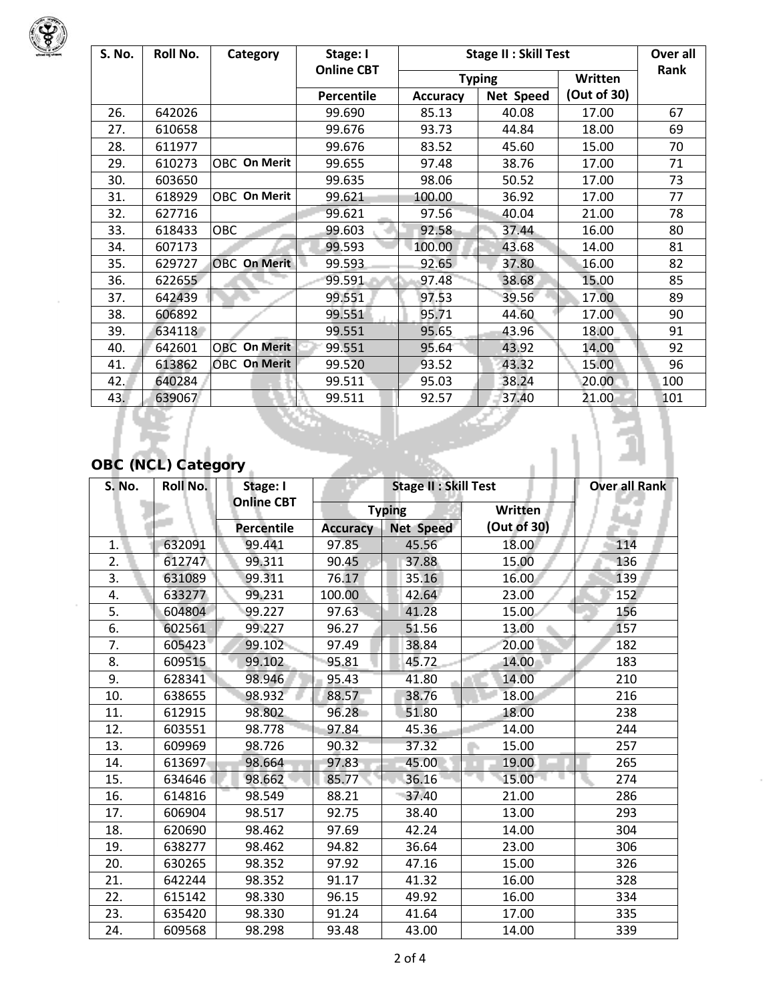

 $\bar{z}$ 

 $\bar{z}$ 

| S. No. | Roll No.                  | Category            | Stage: I          | <b>Stage II: Skill Test</b> |           |             | Over all |  |
|--------|---------------------------|---------------------|-------------------|-----------------------------|-----------|-------------|----------|--|
|        |                           |                     | <b>Online CBT</b> | <b>Typing</b>               |           | Written     | Rank     |  |
|        |                           |                     | Percentile        | <b>Accuracy</b>             | Net Speed | (Out of 30) |          |  |
| 26.    | 642026                    |                     | 99.690            | 85.13                       | 40.08     | 17.00       | 67       |  |
| 27.    | 610658                    |                     | 99.676            | 93.73                       | 44.84     | 18.00       | 69       |  |
| 28.    | 611977                    |                     | 99.676            | 83.52                       | 45.60     | 15.00       | 70       |  |
| 29.    | 610273                    | OBC On Merit        | 99.655            | 97.48                       | 38.76     | 17.00       | 71       |  |
| 30.    | 603650                    |                     | 99.635            | 98.06                       | 50.52     | 17.00       | 73       |  |
| 31.    | 618929                    | OBC On Merit        | 99.621            | 100.00                      | 36.92     | 17.00       | 77       |  |
| 32.    | 627716                    |                     | 99.621            | 97.56                       | 40.04     | 21.00       | 78       |  |
| 33.    | 618433                    | OBC                 | 99.603            | 92.58                       | 37.44     | 16.00       | 80       |  |
| 34.    | 607173                    |                     | 99.593            | 100.00                      | 43.68     | 14.00       | 81       |  |
| 35.    | 629727                    | <b>OBC On Merit</b> | 99.593            | 92.65                       | 37.80     | 16.00       | 82       |  |
| 36.    | 622655                    |                     | 99.591            | 97.48                       | 38.68     | 15.00       | 85       |  |
| 37.    | 642439                    |                     | 99.551            | 97.53                       | 39.56     | 17.00       | 89       |  |
| 38.    | 606892                    |                     | 99.551            | 95.71                       | 44.60     | 17.00       | 90       |  |
| 39.    | 634118                    |                     | 99.551            | 95.65                       | 43.96     | 18.00       | 91       |  |
| 40.    | 642601                    | <b>OBC</b> On Merit | 99.551            | 95.64                       | 43.92     | 14.00       | 92       |  |
| 41.    | 613862                    | <b>OBC On Merit</b> | 99.520            | 93.52                       | 43.32     | 15.00       | 96       |  |
| 42.    | 640284                    |                     | 99.511            | 95.03                       | 38.24     | 20.00       | 100      |  |
| 43.    | 639067                    |                     | 99.511            | 92.57                       | 37.40     | 21.00       | 101      |  |
|        |                           |                     |                   |                             |           |             |          |  |
|        | <b>OBC (NCL) Category</b> |                     |                   |                             |           |             |          |  |

# OBC (NCL) Category

| <b>S. No.</b> | Roll No. | Stage: I          | <b>Stage II: Skill Test</b> |                  |             | <b>Over all Rank</b> |
|---------------|----------|-------------------|-----------------------------|------------------|-------------|----------------------|
|               |          | <b>Online CBT</b> |                             | <b>Typing</b>    | Written     |                      |
|               |          | <b>Percentile</b> | <b>Accuracy</b>             | <b>Net Speed</b> | (Out of 30) |                      |
| 1.            | 632091   | 99.441            | 97.85                       | 45.56            | 18.00       | 114                  |
| 2.            | 612747   | 99.311            | 90.45                       | 37.88            | 15.00       | 136                  |
| 3.            | 631089   | 99.311            | 76.17                       | 35.16            | 16.00       | 139                  |
| 4.            | 633277   | 99.231            | 100.00                      | 42.64            | 23.00       | 152                  |
| 5.            | 604804   | 99.227            | 97.63                       | 41.28            | 15.00       | 156                  |
| 6.            | 602561   | 99.227            | 96.27                       | 51.56            | 13.00       | 157                  |
| 7.            | 605423   | 99.102            | 97.49                       | 38.84            | 20.00       | 182                  |
| 8.            | 609515   | 99.102            | 95.81                       | 45.72            | 14.00       | 183                  |
| 9.            | 628341   | 98.946            | 95.43                       | 41.80            | 14.00       | 210                  |
| 10.           | 638655   | 98.932            | 88.57                       | 38.76            | 18.00       | 216                  |
| 11.           | 612915   | 98.802            | 96.28                       | 51.80            | 18.00       | 238                  |
| 12.           | 603551   | 98.778            | 97.84                       | 45.36            | 14.00       | 244                  |
| 13.           | 609969   | 98.726            | 90.32                       | 37.32            | 15.00       | 257                  |
| 14.           | 613697   | 98.664            | 97.83                       | 45.00            | 19.00       | 265                  |
| 15.           | 634646   | 98.662            | 85.77                       | 36.16            | 15.00       | 274                  |
| 16.           | 614816   | 98.549            | 88.21                       | $-37.40$         | 21.00       | 286                  |
| 17.           | 606904   | 98.517            | 92.75                       | 38.40            | 13.00       | 293                  |
| 18.           | 620690   | 98.462            | 97.69                       | 42.24            | 14.00       | 304                  |
| 19.           | 638277   | 98.462            | 94.82                       | 36.64            | 23.00       | 306                  |
| 20.           | 630265   | 98.352            | 97.92                       | 47.16            | 15.00       | 326                  |
| 21.           | 642244   | 98.352            | 91.17                       | 41.32            | 16.00       | 328                  |
| 22.           | 615142   | 98.330            | 96.15                       | 49.92            | 16.00       | 334                  |
| 23.           | 635420   | 98.330            | 91.24                       | 41.64            | 17.00       | 335                  |
| 24.           | 609568   | 98.298            | 93.48                       | 43.00            | 14.00       | 339                  |

à,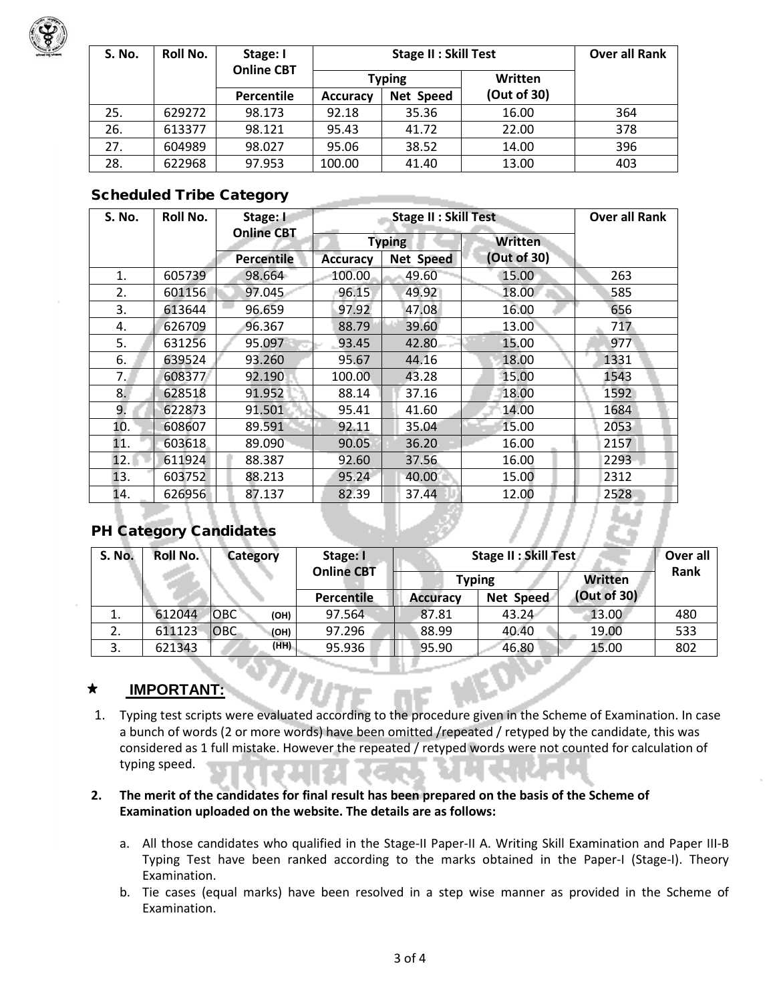

| <b>S. No.</b> | Roll No. | Stage: I          |                 | <b>Over all Rank</b> |             |     |
|---------------|----------|-------------------|-----------------|----------------------|-------------|-----|
|               |          | <b>Online CBT</b> | <b>Typing</b>   |                      | Written     |     |
|               |          | <b>Percentile</b> | <b>Accuracy</b> | Net Speed            | (Out of 30) |     |
| 25.           | 629272   | 98.173            | 92.18           | 35.36                | 16.00       | 364 |
| 26.           | 613377   | 98.121            | 95.43           | 41.72                | 22.00       | 378 |
| 27.           | 604989   | 98.027            | 95.06           | 38.52                | 14.00       | 396 |
| 28.           | 622968   | 97.953            | 100.00          | 41.40                | 13.00       | 403 |

## Scheduled Tribe Category

| S. No.            | Roll No. | Stage: I          | <b>Stage II: Skill Test</b> |                  |                | <b>Over all Rank</b> |
|-------------------|----------|-------------------|-----------------------------|------------------|----------------|----------------------|
|                   |          | <b>Online CBT</b> |                             | <b>Typing</b>    | <b>Written</b> |                      |
|                   |          | Percentile        | <b>Accuracy</b>             | <b>Net Speed</b> | (Out of 30)    |                      |
| 1.                | 605739   | 98.664            | 100.00                      | 49.60            | 15.00          | 263                  |
| 2.                | 601156   | 97.045            | 96.15                       | 49.92            | 18.00          | 585                  |
| 3.                | 613644   | 96.659            | 97.92                       | 47.08            | 16.00          | 656                  |
| 4.                | 626709   | 96.367            | 88.79                       | 39.60            | 13.00          | 717                  |
| 5.                | 631256   | 95.097            | 93.45                       | $42.80 -$        | 15.00          | 977                  |
| 6.                | 639524   | 93.260            | 95.67                       | 44.16            | 18.00          | 1331                 |
| $7_{\cdot \cdot}$ | 608377   | 92.190            | 100.00                      | 43.28            | 15.00          | 1543                 |
| 8.                | 628518   | 91.952            | 88.14                       | 37.16            | 18.00          | 1592                 |
| 9.                | 622873   | 91.501            | 95.41                       | 41.60            | 14.00          | 1684                 |
| 10.               | 608607   | 89.591            | 92.11                       | 35.04            | 15.00          | 2053                 |
| 11.               | 603618   | 89.090            | 90.05                       | 36.20            | 16.00          | 2157                 |
| 12.               | 611924   | 88.387            | 92.60                       | 37.56            | 16.00          | $2293 -$             |
| 13.               | 603752   | 88.213            | 95.24                       | 40.00            | 15.00          | 2312                 |
| 14.               | 626956   | 87.137            | 82.39                       | 37.44            | 12.00          | 2528                 |

## PH Category Candidates

| <b>S. No.</b> | Roll No. | <b>Category</b>    | Stage: I<br><b>Online CBT</b> | Stage II : Skill Test | Over all  |                |      |
|---------------|----------|--------------------|-------------------------------|-----------------------|-----------|----------------|------|
|               |          |                    |                               | <b>Typing</b>         |           | <b>Written</b> | Rank |
|               |          |                    | <b>Percentile</b>             | <b>Accuracy</b>       | Net Speed | (Out of 30)    |      |
| 1.            | 612044   | <b>OBC</b><br>(OH) | 97.564                        | 87.81                 | 43.24     | 13.00          | 480  |
| z.            | 611123   | <b>OBC</b><br>(OH) | 97.296                        | 88.99                 | 40.40     | 19.00          | 533  |
| 3.            | 621343   | (HH)               | 95.936                        | 95.90                 | 46.80     | 15.00          | 802  |

- 7777841

#### $\star$ **IMPORTANT:**

1. Typing test scripts were evaluated according to the procedure given in the Scheme of Examination. In case a bunch of words (2 or more words) have been omitted /repeated / retyped by the candidate, this was considered as 1 full mistake. However the repeated / retyped words were not counted for calculation of typing speed.

### **2. The merit of the candidates for final result has been prepared on the basis of the Scheme of Examination uploaded on the website. The details are as follows:**

- a. All those candidates who qualified in the Stage-II Paper-II A. Writing Skill Examination and Paper III-B Typing Test have been ranked according to the marks obtained in the Paper-I (Stage-I). Theory Examination.
- b. Tie cases (equal marks) have been resolved in a step wise manner as provided in the Scheme of Examination.